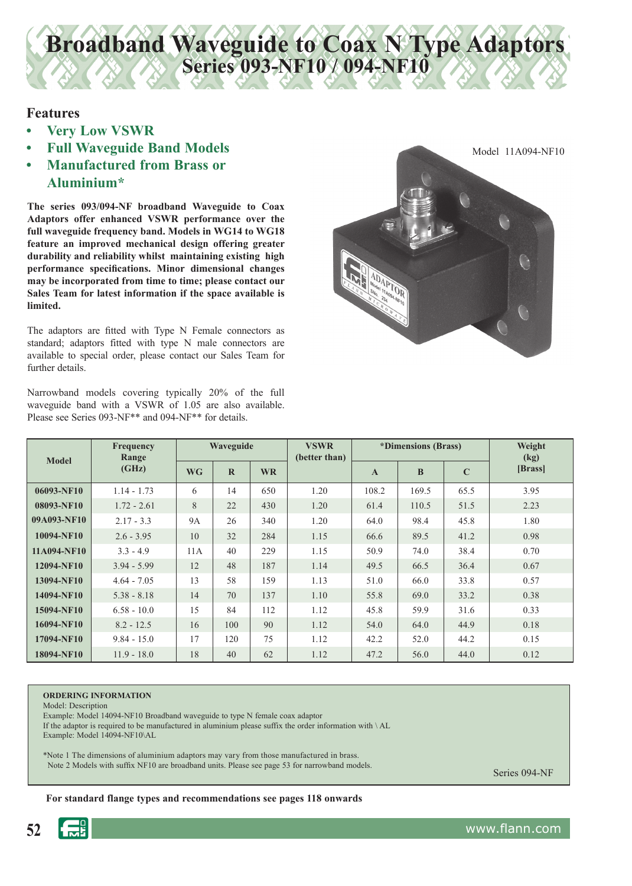# **Broadband Waveguide to Coax N Type Adaptors Series 093-NF10 / 094-NF10**

### **Features**

- **Very Low VSWR**
- **Full Waveguide Band Models**
- **Manufactured from Brass or Aluminium\***

**The series 093/094-NF broadband Waveguide to Coax Adaptors offer enhanced VSWR performance over the full waveguide frequency band. Models in WG14 to WG18 feature an improved mechanical design offering greater durability and reliability whilst maintaining existing high performance specifications. Minor dimensional changes may be incorporated from time to time; please contact our Sales Team for latest information if the space available is limited.**

The adaptors are fitted with Type N Female connectors as standard; adaptors fitted with type N male connectors are available to special order, please contact our Sales Team for further details.

Narrowband models covering typically 20% of the full waveguide band with a VSWR of 1.05 are also available. Please see Series 093-NF\*\* and 094-NF\*\* for details.



| <b>Model</b> | <b>Frequency</b><br>Range<br>(GHz) | Waveguide |             |           | <b>VSWR</b><br>(better than) | *Dimensions (Brass) |          |             | Weight<br>(kg) |
|--------------|------------------------------------|-----------|-------------|-----------|------------------------------|---------------------|----------|-------------|----------------|
|              |                                    | <b>WG</b> | $\mathbf R$ | <b>WR</b> |                              | $\mathbf{A}$        | $\bf{B}$ | $\mathbf C$ | [Brass]        |
| 06093-NF10   | $1.14 - 1.73$                      | 6         | 14          | 650       | 1.20                         | 108.2               | 169.5    | 65.5        | 3.95           |
| 08093-NF10   | $1.72 - 2.61$                      | 8         | 22          | 430       | 1.20                         | 61.4                | 110.5    | 51.5        | 2.23           |
| 09A093-NF10  | $2.17 - 3.3$                       | <b>9A</b> | 26          | 340       | 1.20                         | 64.0                | 98.4     | 45.8        | 1.80           |
| 10094-NF10   | $2.6 - 3.95$                       | 10        | 32          | 284       | 1.15                         | 66.6                | 89.5     | 41.2        | 0.98           |
| 11A094-NF10  | $3.3 - 4.9$                        | 11A       | 40          | 229       | 1.15                         | 50.9                | 74.0     | 38.4        | 0.70           |
| 12094-NF10   | $3.94 - 5.99$                      | 12        | 48          | 187       | 1.14                         | 49.5                | 66.5     | 36.4        | 0.67           |
| 13094-NF10   | $4.64 - 7.05$                      | 13        | 58          | 159       | 1.13                         | 51.0                | 66.0     | 33.8        | 0.57           |
| 14094-NF10   | $5.38 - 8.18$                      | 14        | 70          | 137       | 1.10                         | 55.8                | 69.0     | 33.2        | 0.38           |
| 15094-NF10   | $6.58 - 10.0$                      | 15        | 84          | 112       | 1.12                         | 45.8                | 59.9     | 31.6        | 0.33           |
| 16094-NF10   | $8.2 - 12.5$                       | 16        | 100         | 90        | 1.12                         | 54.0                | 64.0     | 44.9        | 0.18           |
| 17094-NF10   | $9.84 - 15.0$                      | 17        | 120         | 75        | 1.12                         | 42.2                | 52.0     | 44.2        | 0.15           |
| 18094-NF10   | $11.9 - 18.0$                      | 18        | 40          | 62        | 1.12                         | 47.2                | 56.0     | 44.0        | 0.12           |

#### **ORDERING INFORMATION**

Model: Description Example: Model 14094-NF10 Broadband waveguide to type N female coax adaptor

If the adaptor is required to be manufactured in aluminium please suffix the order information with \ AL Example: Model 14094-NF10\AL

\*Note 1 The dimensions of aluminium adaptors may vary from those manufactured in brass. Note 2 Models with suffix NF10 are broadband units. Please see page 53 for narrowband models.

Series 094-NF

For standard flange types and recommendations see pages 118 onwards